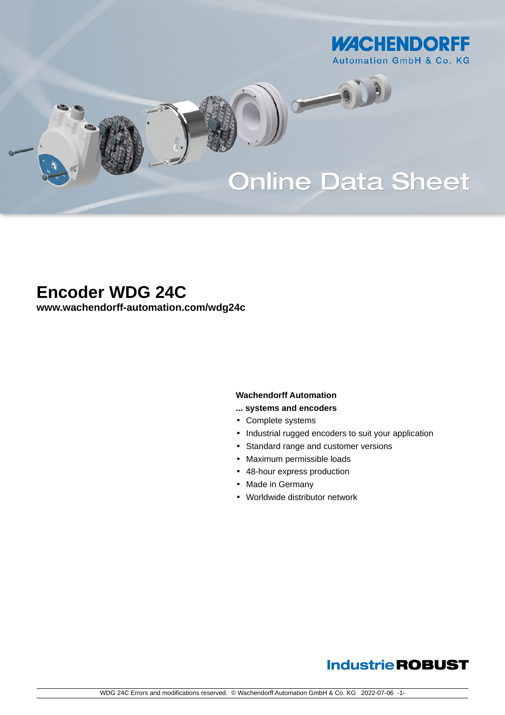

# **Online Data Sheet**

O

## **Encoder WDG 24C**

**[www.wachendorff-automation.com/wdg24c](https://www.wachendorff-automation.com/wdg24c)**

#### **Wachendorff Automation**

- **... systems and encoders**
- Complete systems
- Industrial rugged encoders to suit your application
- Standard range and customer versions
- Maximum permissible loads
- 48-hour express production
- Made in Germany
- Worldwide distributor network

### **Industrie ROBUST**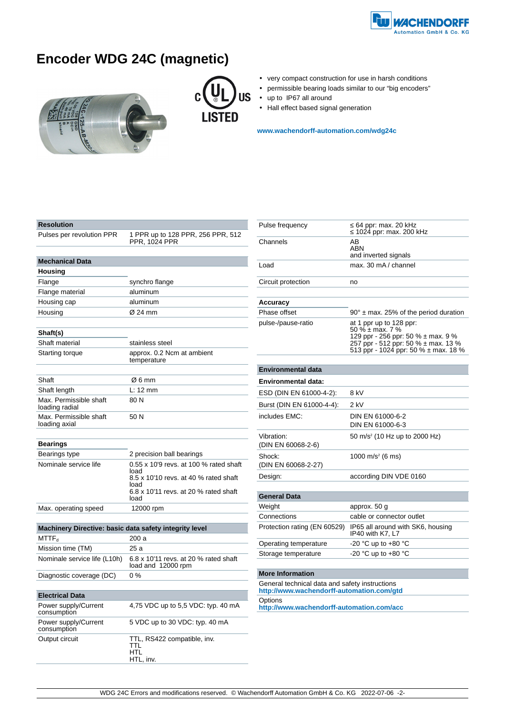

## **Encoder WDG 24C (magnetic)**





- very compact construction for use in harsh conditions
- permissible bearing loads similar to our "big encoders"
- up to IP67 all around
- Hall effect based signal generation

**[www.wachendorff-automation.com/wdg24c](https://www.wachendorff-automation.com/wdg24c)**

| Resolution                                             |                                                                                                                                          |  |  |
|--------------------------------------------------------|------------------------------------------------------------------------------------------------------------------------------------------|--|--|
| Pulses per revolution PPR                              | 1 PPR up to 128 PPR, 256 PPR, 512<br>PPR, 1024 PPR                                                                                       |  |  |
|                                                        |                                                                                                                                          |  |  |
| <b>Mechanical Data</b>                                 |                                                                                                                                          |  |  |
| <b>Housing</b>                                         |                                                                                                                                          |  |  |
| Flange                                                 | synchro flange                                                                                                                           |  |  |
| Flange material                                        | aluminum                                                                                                                                 |  |  |
| Housing cap                                            | aluminum                                                                                                                                 |  |  |
| Housing                                                | Ø 24 mm                                                                                                                                  |  |  |
|                                                        |                                                                                                                                          |  |  |
| Shaft(s)                                               |                                                                                                                                          |  |  |
| Shaft material                                         | stainless steel                                                                                                                          |  |  |
| <b>Starting torque</b>                                 | approx. 0.2 Ncm at ambient<br>temperature                                                                                                |  |  |
|                                                        |                                                                                                                                          |  |  |
| Shaft                                                  | Ø6 mm                                                                                                                                    |  |  |
| Shaft length                                           | L: 12 mm                                                                                                                                 |  |  |
| Max. Permissible shaft<br>loading radial               | 80N                                                                                                                                      |  |  |
| Max. Permissible shaft<br>loading axial                | 50 N                                                                                                                                     |  |  |
| <b>Bearings</b>                                        |                                                                                                                                          |  |  |
| Bearings type                                          | 2 precision ball bearings                                                                                                                |  |  |
| Nominale service life                                  | 0.55 x 10'9 revs. at 100 % rated shaft<br>load<br>8.5 x 10'10 revs. at 40 % rated shaft<br>load<br>6.8 x 10'11 revs. at 20 % rated shaft |  |  |
|                                                        | load                                                                                                                                     |  |  |
| Max. operating speed                                   | 12000 rpm                                                                                                                                |  |  |
|                                                        |                                                                                                                                          |  |  |
| Machinery Directive: basic data safety integrity level |                                                                                                                                          |  |  |
| MTTF <sub>d</sub>                                      | 200 a                                                                                                                                    |  |  |
| Mission time (TM)                                      | 25 a                                                                                                                                     |  |  |
| Nominale service life (L10h)                           | 6.8 x 10'11 revs. at 20 % rated shaft<br>load and 12000 rpm                                                                              |  |  |
| Diagnostic coverage (DC)                               | $0\%$                                                                                                                                    |  |  |
|                                                        |                                                                                                                                          |  |  |
| <b>Electrical Data</b>                                 |                                                                                                                                          |  |  |
| Power supply/Current<br>consumption                    | 4,75 VDC up to 5,5 VDC: typ. 40 mA                                                                                                       |  |  |
| Power supply/Current<br>consumption                    | 5 VDC up to 30 VDC: typ. 40 mA                                                                                                           |  |  |
| Output circuit                                         | TTL, RS422 compatible, inv.<br>TTL                                                                                                       |  |  |

HTL HTL, inv.

| Pulse frequency                  | 64 ppr: max. 20 kHz<br>1024 ppr: max. 200 kHz                                                                                                                               |
|----------------------------------|-----------------------------------------------------------------------------------------------------------------------------------------------------------------------------|
| Channels                         | AВ<br>ABN<br>and inverted signals                                                                                                                                           |
| Load                             | max. 30 mA / channel                                                                                                                                                        |
| Circuit protection               | no                                                                                                                                                                          |
|                                  |                                                                                                                                                                             |
| <b>Accuracy</b>                  |                                                                                                                                                                             |
| Phase offset                     | $90^\circ$ ± max. 25% of the period duration                                                                                                                                |
| pulse-/pause-ratio               | at 1 ppr up to 128 ppr:<br>50 % $\pm$ max, 7 %<br>129 ppr - 256 ppr: 50 $%$ ± max. 9 $%$<br>257 ppr - 512 ppr: 50 % ± max. 13 %<br>513 ppr - 1024 ppr: 50 % $\pm$ max. 18 % |
|                                  |                                                                                                                                                                             |
| <b>Environmental data</b>        |                                                                                                                                                                             |
| Environmental data:              |                                                                                                                                                                             |
| ESD (DIN EN 61000-4-2):          | 8 kV                                                                                                                                                                        |
| Burst (DIN EN 61000-4-4):        | 2 kV                                                                                                                                                                        |
| includes EMC:                    | DIN EN 61000-6-2<br>DIN EN 61000-6-3                                                                                                                                        |
| Vibration:<br>(DIN EN 60068-2-6) | 50 m/s <sup>2</sup> (10 Hz up to 2000 Hz)                                                                                                                                   |
| Shock:<br>(DIN EN 60068-2-27)    | 1000 m/s <sup>2</sup> (6 ms)                                                                                                                                                |
| Design:                          | according DIN VDE 0160                                                                                                                                                      |
|                                  |                                                                                                                                                                             |
| General Data                     |                                                                                                                                                                             |
| Weight                           | approx. 50 g                                                                                                                                                                |
| Connections                      | cable or connector outlet                                                                                                                                                   |
| Protection rating (EN 60529)     | IP65 all around with SK6, housing<br>IP40 with K7, L7                                                                                                                       |
| Operating temperature            | -20 °C up to +80 °C                                                                                                                                                         |
| Storage temperature              | -20 °C up to $+80$ °C                                                                                                                                                       |

#### **More Information**

General technical data and safety instructions **http://www.wachendorff-automation.com/gtd Options http://www.wachendorff-automation.com/acc**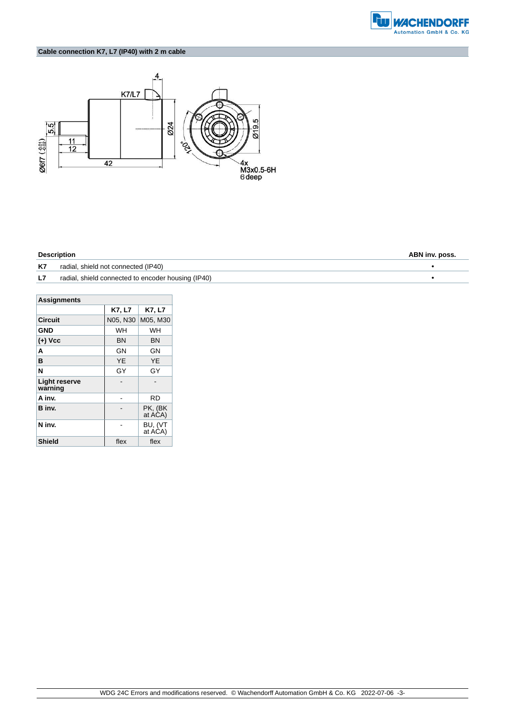

### **Cable connection K7, L7 (IP40) with 2 m cable**



| <b>Description</b> | ABN inv. poss.                                     |  |
|--------------------|----------------------------------------------------|--|
| K7                 | radial, shield not connected (IP40)                |  |
| L7                 | radial, shield connected to encoder housing (IP40) |  |

| <b>Assignments</b>              |          |                    |  |  |  |
|---------------------------------|----------|--------------------|--|--|--|
|                                 | K7, L7   | K7, L7             |  |  |  |
| <b>Circuit</b>                  | N05, N30 | M05, M30           |  |  |  |
| <b>GND</b>                      | WH       | WH                 |  |  |  |
| $(+)$ Vcc                       | ΒN       | ΒN                 |  |  |  |
| A                               | GN       | GΝ                 |  |  |  |
| в                               | YE       | YE                 |  |  |  |
| N                               | GY       | GY                 |  |  |  |
| <b>Light reserve</b><br>warning |          |                    |  |  |  |
| A inv.                          |          | RD                 |  |  |  |
| B inv.                          |          | PK, (BK<br>at ACA) |  |  |  |
| N inv.                          |          | BU, (VT<br>at ACA) |  |  |  |
| <b>Shield</b>                   | flex     | flex               |  |  |  |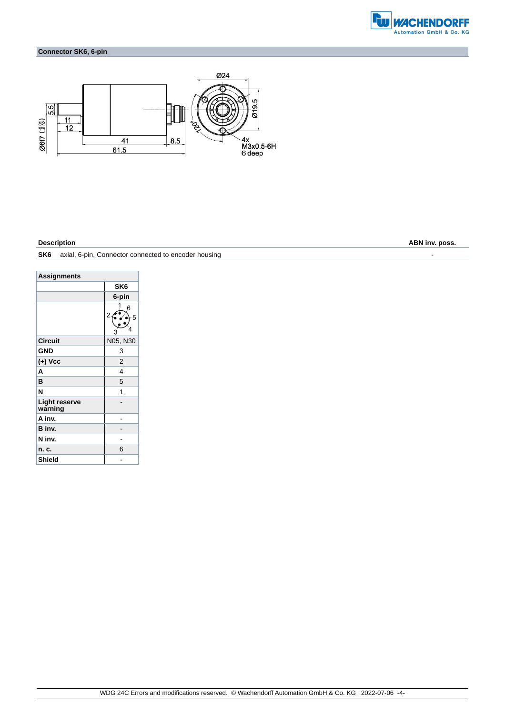

### **Connector SK6, 6-pin**



**Description ABN inv. poss.**

#### **SK6** axial, 6-pin, Connector connected to encoder housing  $\overline{\phantom{a}}$

| <b>Assignments</b>              |                 |
|---------------------------------|-----------------|
|                                 | SK <sub>6</sub> |
|                                 | 6-pin           |
|                                 | 6<br>2<br>5     |
| <b>Circuit</b>                  | N05, N30        |
| <b>GND</b>                      | 3               |
| (+) Vcc                         | $\overline{2}$  |
| A                               | 4               |
| B                               | 5               |
| N                               | 1               |
| <b>Light reserve</b><br>warning |                 |
| A inv.                          |                 |
| B inv.                          |                 |
| N inv.                          |                 |
| n. c.                           | 6               |
| Shield                          |                 |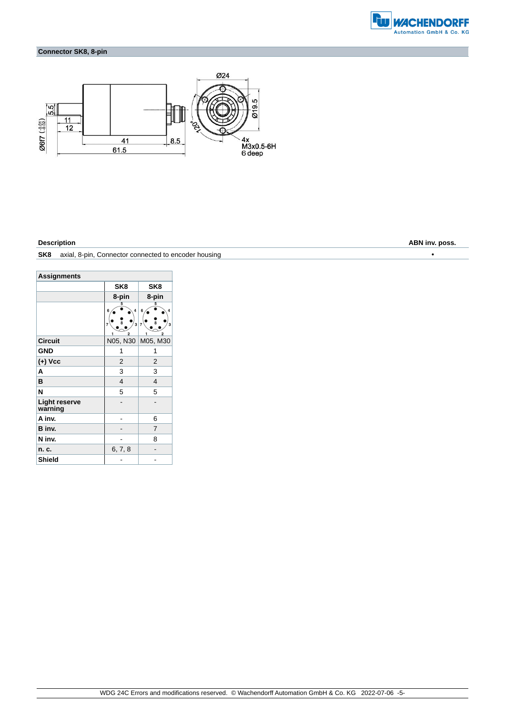

### **Connector SK8, 8-pin**



**Description ABN inv. poss.**

| SK <sub>8</sub> | axial, 8-pin, Connector connected to encoder housing |  |
|-----------------|------------------------------------------------------|--|
|-----------------|------------------------------------------------------|--|

| <b>Assignments</b>              |                                                                          |                                                                                                            |  |  |  |
|---------------------------------|--------------------------------------------------------------------------|------------------------------------------------------------------------------------------------------------|--|--|--|
|                                 | SK <sub>8</sub>                                                          | SK <sub>8</sub>                                                                                            |  |  |  |
|                                 | 8-pin                                                                    | 8-pin                                                                                                      |  |  |  |
|                                 | 5<br>$\overline{\mathbf{4}}$<br>6<br>s.<br>3<br>7<br>$\overline{2}$<br>1 | 5<br>6<br>4<br>$\overline{\mathbf{8}}$<br>$\overline{\mathbf{3}}$<br>$\overline{7}$<br>$\overline{2}$<br>1 |  |  |  |
| <b>Circuit</b>                  | N05, N30                                                                 | M05, M30                                                                                                   |  |  |  |
| <b>GND</b>                      | 1                                                                        | 1                                                                                                          |  |  |  |
| (+) Vcc                         | $\overline{2}$                                                           | $\overline{2}$                                                                                             |  |  |  |
| A                               | 3                                                                        | 3                                                                                                          |  |  |  |
| B                               | $\overline{4}$                                                           | $\overline{\mathbf{4}}$                                                                                    |  |  |  |
| N                               | 5                                                                        | 5                                                                                                          |  |  |  |
| <b>Light reserve</b><br>warning |                                                                          |                                                                                                            |  |  |  |
| A inv.                          |                                                                          | 6                                                                                                          |  |  |  |
| B inv.                          |                                                                          | 7                                                                                                          |  |  |  |
| N inv.                          |                                                                          | 8                                                                                                          |  |  |  |
| n. c.                           | 6, 7, 8                                                                  |                                                                                                            |  |  |  |
| <b>Shield</b>                   |                                                                          |                                                                                                            |  |  |  |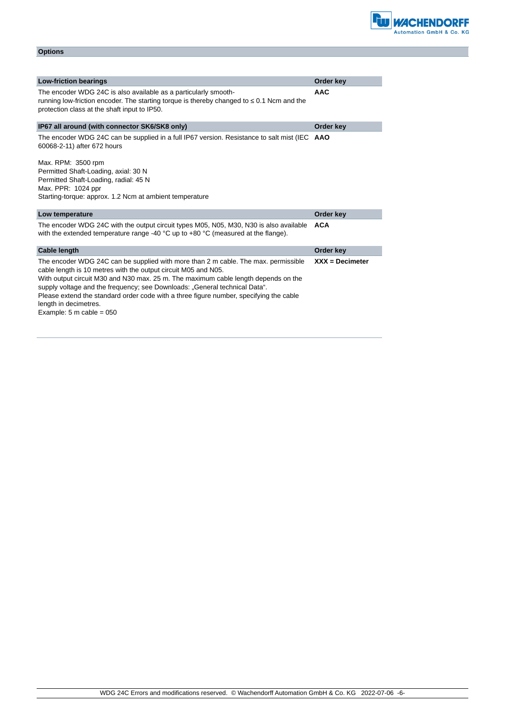| <b>Low-friction bearings</b>                                                                                                                                                                                  | Order key         |
|---------------------------------------------------------------------------------------------------------------------------------------------------------------------------------------------------------------|-------------------|
| The encoder WDG 24C is also available as a particularly smooth-<br>running low-friction encoder. The starting torque is thereby changed to<br>0.1 Ncm and the<br>protection class at the shaft input to IP50. | <b>AAC</b>        |
| IP67 all around (with connector SK6/SK8 only)                                                                                                                                                                 | Order key         |
| The encoder WDG 24C can be supplied in a full IP67 version. Resistance to salt mist (IEC<br>60068-2-11) after 672 hours<br>Max. RPM: 3500 rpm                                                                 | <b>AAO</b>        |
| Permitted Shaft-Loading, axial: 30 N<br>Permitted Shaft-Loading, radial: 45 N                                                                                                                                 |                   |
| Max. PPR: 1024 ppr                                                                                                                                                                                            |                   |
| Starting-torque: approx. 1.2 Ncm at ambient temperature                                                                                                                                                       |                   |
| Low temperature                                                                                                                                                                                               | Order key         |
| The encoder WDG 24C with the output circuit types M05, N05, M30, N30 is also available<br>with the extended temperature range -40 $^{\circ}$ C up to +80 $^{\circ}$ C (measured at the flange).               | <b>ACA</b>        |
| <b>Cable length</b>                                                                                                                                                                                           | Order key         |
| The encoder WDG 24C can be supplied with more than 2 m cable. The max. permissible<br>cable length is 10 metres with the output circuit M05 and N05.                                                          | $XXX = Decimeter$ |

**Options**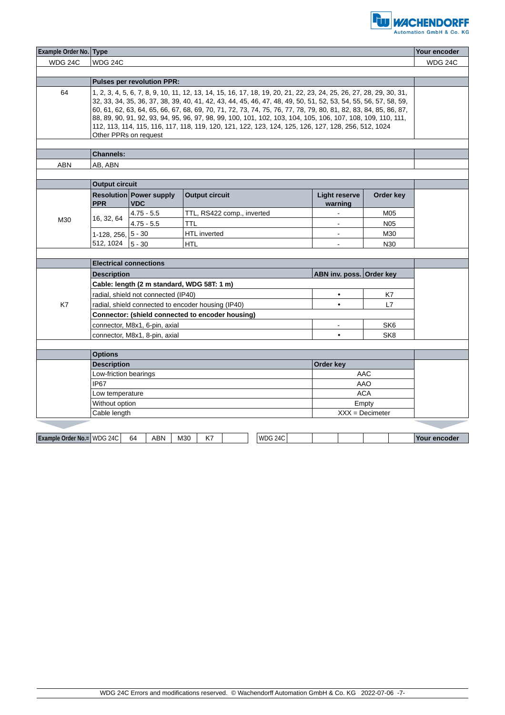

| <b>Example Order No. Type</b>     |                                                                                                                                                                                                                                                                                                                                                                                                                                                                                                                                                                                                         |                                              |                            |  |                | Your encoder                    |                 |              |
|-----------------------------------|---------------------------------------------------------------------------------------------------------------------------------------------------------------------------------------------------------------------------------------------------------------------------------------------------------------------------------------------------------------------------------------------------------------------------------------------------------------------------------------------------------------------------------------------------------------------------------------------------------|----------------------------------------------|----------------------------|--|----------------|---------------------------------|-----------------|--------------|
| <b>WDG 24C</b>                    | WDG 24C                                                                                                                                                                                                                                                                                                                                                                                                                                                                                                                                                                                                 |                                              |                            |  |                | <b>WDG 24C</b>                  |                 |              |
|                                   |                                                                                                                                                                                                                                                                                                                                                                                                                                                                                                                                                                                                         |                                              |                            |  |                |                                 |                 |              |
| <b>Pulses per revolution PPR:</b> |                                                                                                                                                                                                                                                                                                                                                                                                                                                                                                                                                                                                         |                                              |                            |  |                |                                 |                 |              |
| 64                                | 1, 2, 3, 4, 5, 6, 7, 8, 9, 10, 11, 12, 13, 14, 15, 16, 17, 18, 19, 20, 21, 22, 23, 24, 25, 26, 27, 28, 29, 30, 31,<br>32, 33, 34, 35, 36, 37, 38, 39, 40, 41, 42, 43, 44, 45, 46, 47, 48, 49, 50, 51, 52, 53, 54, 55, 56, 57, 58, 59,<br>60, 61, 62, 63, 64, 65, 66, 67, 68, 69, 70, 71, 72, 73, 74, 75, 76, 77, 78, 79, 80, 81, 82, 83, 84, 85, 86, 87,<br>88, 89, 90, 91, 92, 93, 94, 95, 96, 97, 98, 99, 100, 101, 102, 103, 104, 105, 106, 107, 108, 109, 110, 111,<br>112, 113, 114, 115, 116, 117, 118, 119, 120, 121, 122, 123, 124, 125, 126, 127, 128, 256, 512, 1024<br>Other PPRs on request |                                              |                            |  |                |                                 |                 |              |
|                                   |                                                                                                                                                                                                                                                                                                                                                                                                                                                                                                                                                                                                         |                                              |                            |  |                |                                 |                 |              |
|                                   | <b>Channels:</b>                                                                                                                                                                                                                                                                                                                                                                                                                                                                                                                                                                                        |                                              |                            |  |                |                                 |                 |              |
| ABN                               | AB, ABN                                                                                                                                                                                                                                                                                                                                                                                                                                                                                                                                                                                                 |                                              |                            |  |                |                                 |                 |              |
|                                   |                                                                                                                                                                                                                                                                                                                                                                                                                                                                                                                                                                                                         |                                              |                            |  |                |                                 |                 |              |
|                                   | <b>Output circuit</b>                                                                                                                                                                                                                                                                                                                                                                                                                                                                                                                                                                                   |                                              |                            |  |                |                                 |                 |              |
|                                   | <b>PPR</b>                                                                                                                                                                                                                                                                                                                                                                                                                                                                                                                                                                                              | <b>Resolution Power supply</b><br><b>VDC</b> | <b>Output circuit</b>      |  |                | <b>Light reserve</b><br>warning | Order key       |              |
|                                   |                                                                                                                                                                                                                                                                                                                                                                                                                                                                                                                                                                                                         | $4.75 - 5.5$                                 | TTL, RS422 comp., inverted |  |                |                                 | M05             |              |
| M30                               | 16, 32, 64                                                                                                                                                                                                                                                                                                                                                                                                                                                                                                                                                                                              | $4.75 - 5.5$                                 | TTL                        |  |                |                                 | N <sub>05</sub> |              |
|                                   | 1-128, 256, 5 - 30                                                                                                                                                                                                                                                                                                                                                                                                                                                                                                                                                                                      |                                              | <b>HTL</b> inverted        |  |                | $\sim$                          | M30             |              |
|                                   | 512, 1024                                                                                                                                                                                                                                                                                                                                                                                                                                                                                                                                                                                               | $5 - 30$                                     | <b>HTL</b>                 |  |                |                                 | N30             |              |
|                                   |                                                                                                                                                                                                                                                                                                                                                                                                                                                                                                                                                                                                         |                                              |                            |  |                |                                 |                 |              |
|                                   | <b>Electrical connections</b>                                                                                                                                                                                                                                                                                                                                                                                                                                                                                                                                                                           |                                              |                            |  |                |                                 |                 |              |
|                                   | ABN inv. poss. Order key<br><b>Description</b>                                                                                                                                                                                                                                                                                                                                                                                                                                                                                                                                                          |                                              |                            |  |                |                                 |                 |              |
|                                   | Cable: length (2 m standard, WDG 58T: 1 m)                                                                                                                                                                                                                                                                                                                                                                                                                                                                                                                                                              |                                              |                            |  |                |                                 |                 |              |
|                                   | radial, shield not connected (IP40)                                                                                                                                                                                                                                                                                                                                                                                                                                                                                                                                                                     |                                              |                            |  |                | $\bullet$                       | K7              |              |
| K7                                | radial, shield connected to encoder housing (IP40)                                                                                                                                                                                                                                                                                                                                                                                                                                                                                                                                                      |                                              |                            |  |                | $\bullet$                       | L7              |              |
|                                   | Connector: (shield connected to encoder housing)                                                                                                                                                                                                                                                                                                                                                                                                                                                                                                                                                        |                                              |                            |  |                |                                 |                 |              |
|                                   | connector, M8x1, 6-pin, axial                                                                                                                                                                                                                                                                                                                                                                                                                                                                                                                                                                           |                                              |                            |  |                |                                 | SK <sub>6</sub> |              |
|                                   | connector, M8x1, 8-pin, axial                                                                                                                                                                                                                                                                                                                                                                                                                                                                                                                                                                           |                                              |                            |  |                | $\bullet$                       | SK <sub>8</sub> |              |
|                                   |                                                                                                                                                                                                                                                                                                                                                                                                                                                                                                                                                                                                         |                                              |                            |  |                |                                 |                 |              |
| <b>Options</b>                    |                                                                                                                                                                                                                                                                                                                                                                                                                                                                                                                                                                                                         |                                              |                            |  |                |                                 |                 |              |
|                                   | <b>Description</b><br>Order key                                                                                                                                                                                                                                                                                                                                                                                                                                                                                                                                                                         |                                              |                            |  |                |                                 |                 |              |
|                                   | Low-friction bearings                                                                                                                                                                                                                                                                                                                                                                                                                                                                                                                                                                                   |                                              |                            |  |                |                                 | AAC             |              |
|                                   | IP67                                                                                                                                                                                                                                                                                                                                                                                                                                                                                                                                                                                                    |                                              |                            |  | <b>AAO</b>     |                                 |                 |              |
|                                   | <b>ACA</b><br>Low temperature                                                                                                                                                                                                                                                                                                                                                                                                                                                                                                                                                                           |                                              |                            |  |                |                                 |                 |              |
|                                   | Without option<br>Empty                                                                                                                                                                                                                                                                                                                                                                                                                                                                                                                                                                                 |                                              |                            |  |                |                                 |                 |              |
|                                   | Cable length<br>$XXX = Decimeter$                                                                                                                                                                                                                                                                                                                                                                                                                                                                                                                                                                       |                                              |                            |  |                |                                 |                 |              |
|                                   |                                                                                                                                                                                                                                                                                                                                                                                                                                                                                                                                                                                                         |                                              |                            |  |                |                                 |                 |              |
| Example Order No.= WDG 24C        |                                                                                                                                                                                                                                                                                                                                                                                                                                                                                                                                                                                                         | <b>ABN</b><br>64                             | M30<br>K7                  |  | <b>WDG 24C</b> |                                 |                 | Your encoder |